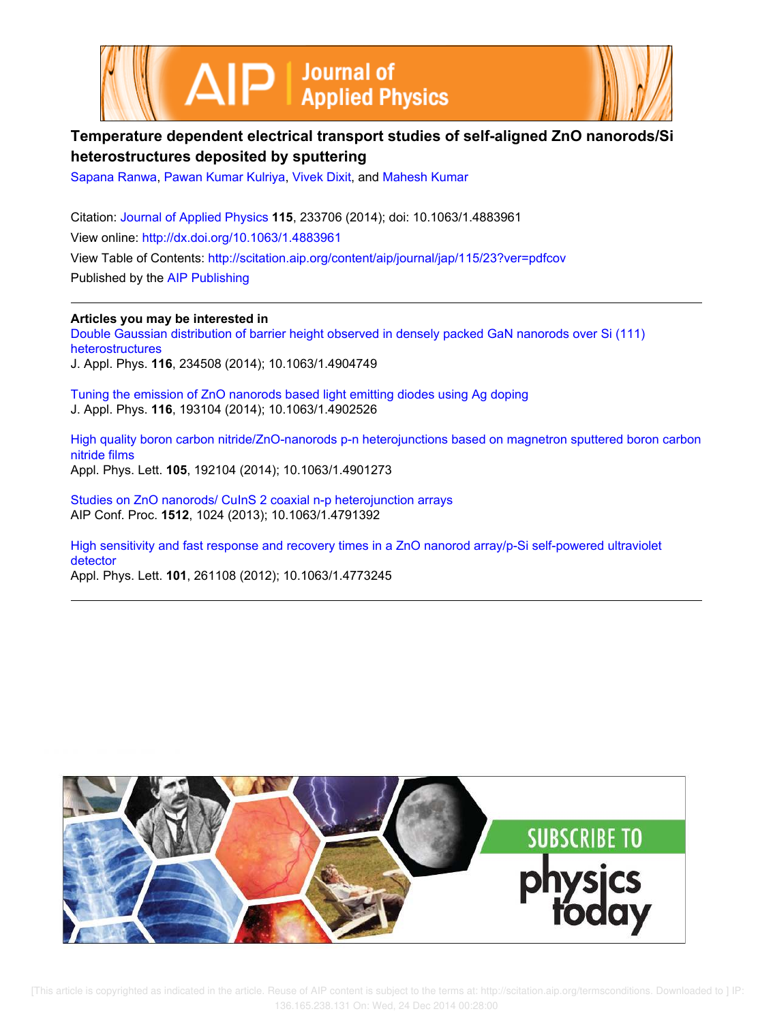



# **Temperature dependent electrical transport studies of self-aligned ZnO nanorods/Si heterostructures deposited by sputtering**

Sapana Ranwa, Pawan Kumar Kulriya, Vivek Dixit, and Mahesh Kumar

Citation: Journal of Applied Physics **115**, 233706 (2014); doi: 10.1063/1.4883961 View online: http://dx.doi.org/10.1063/1.4883961 View Table of Contents: http://scitation.aip.org/content/aip/journal/jap/115/23?ver=pdfcov Published by the AIP Publishing

**Articles you may be interested in**

Double Gaussian distribution of barrier height observed in densely packed GaN nanorods over Si (111) heterostructures J. Appl. Phys. **116**, 234508 (2014); 10.1063/1.4904749

Tuning the emission of ZnO nanorods based light emitting diodes using Ag doping J. Appl. Phys. **116**, 193104 (2014); 10.1063/1.4902526

High quality boron carbon nitride/ZnO-nanorods p-n heterojunctions based on magnetron sputtered boron carbon nitride films Appl. Phys. Lett. **105**, 192104 (2014); 10.1063/1.4901273

Studies on ZnO nanorods/ CuInS 2 coaxial n-p heterojunction arrays AIP Conf. Proc. **1512**, 1024 (2013); 10.1063/1.4791392

High sensitivity and fast response and recovery times in a ZnO nanorod array/p-Si self-powered ultraviolet detector

Appl. Phys. Lett. **101**, 261108 (2012); 10.1063/1.4773245

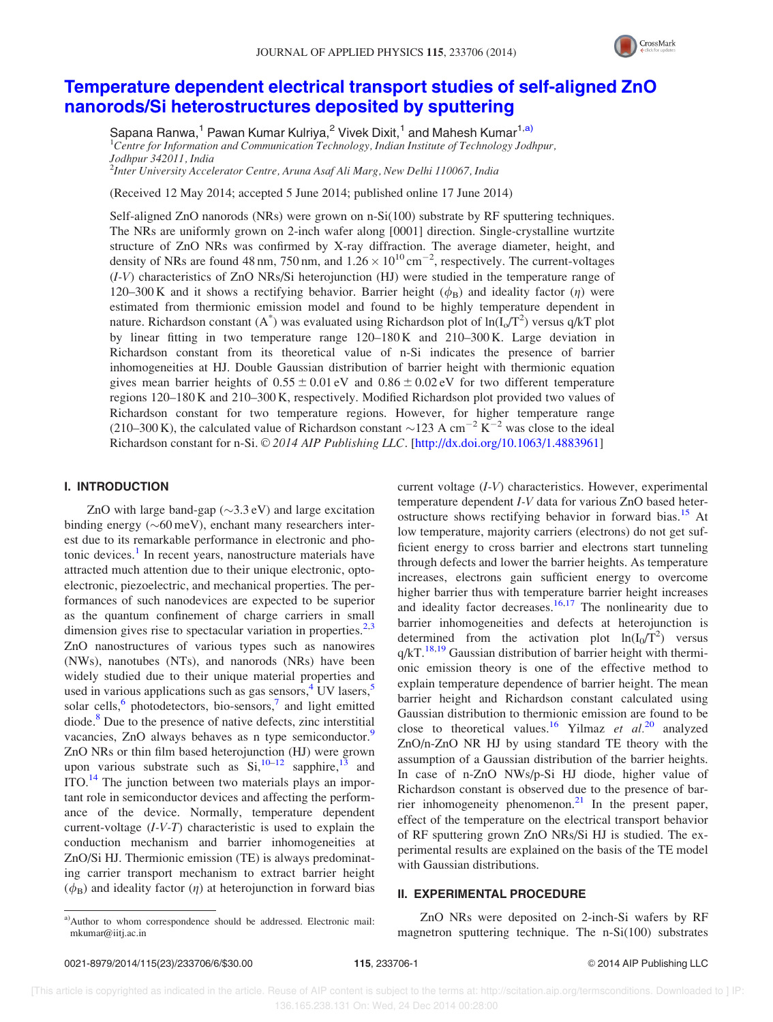

# Temperature dependent electrical transport studies of self-aligned ZnO nanorods/Si heterostructures deposited by sputtering

Sapana Ranwa,<sup>1</sup> Pawan Kumar Kulriya,<sup>2</sup> Vivek Dixit,<sup>1</sup> and Mahesh Kumar<sup>1,a)</sup>  ${}^{1}$ Centre for Information and Communication Technology, Indian Institute of Technology Jodhpur, Jodhpur 342011, India

2 Inter University Accelerator Centre, Aruna Asaf Ali Marg, New Delhi 110067, India

(Received 12 May 2014; accepted 5 June 2014; published online 17 June 2014)

Self-aligned ZnO nanorods (NRs) were grown on n-Si(100) substrate by RF sputtering techniques. The NRs are uniformly grown on 2-inch wafer along [0001] direction. Single-crystalline wurtzite structure of ZnO NRs was confirmed by X-ray diffraction. The average diameter, height, and density of NRs are found 48 nm, 750 nm, and  $1.26 \times 10^{10}$  cm<sup>-2</sup>, respectively. The current-voltages (I-V) characteristics of ZnO NRs/Si heterojunction (HJ) were studied in the temperature range of 120–300 K and it shows a rectifying behavior. Barrier height  $(\phi_R)$  and ideality factor  $(\eta)$  were estimated from thermionic emission model and found to be highly temperature dependent in nature. Richardson constant (A<sup>\*</sup>) was evaluated using Richardson plot of  $ln(I_0/T^2)$  versus q/kT plot by linear fitting in two temperature range  $120-180$  K and  $210-300$  K. Large deviation in Richardson constant from its theoretical value of n-Si indicates the presence of barrier inhomogeneities at HJ. Double Gaussian distribution of barrier height with thermionic equation gives mean barrier heights of  $0.55 \pm 0.01$  eV and  $0.86 \pm 0.02$  eV for two different temperature regions 120–180 K and 210–300 K, respectively. Modified Richardson plot provided two values of Richardson constant for two temperature regions. However, for higher temperature range (210–300 K), the calculated value of Richardson constant  $\sim$  123 A cm<sup>-2</sup> K<sup>-2</sup> was close to the ideal Richardson constant for n-Si. © 2014 AIP Publishing LLC. [http://dx.doi.org/10.1063/1.4883961]

#### I. INTRODUCTION

ZnO with large band-gap  $(\sim 3.3 \text{ eV})$  and large excitation binding energy  $(\sim 60 \,\text{meV})$ , enchant many researchers interest due to its remarkable performance in electronic and photonic devices.<sup>1</sup> In recent years, nanostructure materials have attracted much attention due to their unique electronic, optoelectronic, piezoelectric, and mechanical properties. The performances of such nanodevices are expected to be superior as the quantum confinement of charge carriers in small dimension gives rise to spectacular variation in properties. $2,3$ ZnO nanostructures of various types such as nanowires (NWs), nanotubes (NTs), and nanorods (NRs) have been widely studied due to their unique material properties and used in various applications such as gas sensors,  $4$  UV lasers,  $5$ solar cells,<sup>6</sup> photodetectors, bio-sensors,<sup>7</sup> and light emitted diode.<sup>8</sup> Due to the presence of native defects, zinc interstitial vacancies, ZnO always behaves as n type semiconductor.<sup>9</sup> ZnO NRs or thin film based heterojunction (HJ) were grown upon various substrate such as  $Si$ ,  $10-12$  sapphire,  $13$  and ITO.<sup>14</sup> The junction between two materials plays an important role in semiconductor devices and affecting the performance of the device. Normally, temperature dependent current-voltage  $(I-V-T)$  characteristic is used to explain the conduction mechanism and barrier inhomogeneities at ZnO/Si HJ. Thermionic emission (TE) is always predominating carrier transport mechanism to extract barrier height  $(\phi_B)$  and ideality factor  $(\eta)$  at heterojunction in forward bias

current voltage (I-V) characteristics. However, experimental temperature dependent I-V data for various ZnO based heterostructure shows rectifying behavior in forward bias.<sup>15</sup> At low temperature, majority carriers (electrons) do not get sufficient energy to cross barrier and electrons start tunneling through defects and lower the barrier heights. As temperature increases, electrons gain sufficient energy to overcome higher barrier thus with temperature barrier height increases and ideality factor decreases. $16,17$  The nonlinearity due to barrier inhomogeneities and defects at heterojunction is determined from the activation plot  $ln(I_0/T^2)$  versus  $q/kT$ .<sup>18,19</sup> Gaussian distribution of barrier height with thermionic emission theory is one of the effective method to explain temperature dependence of barrier height. The mean barrier height and Richardson constant calculated using Gaussian distribution to thermionic emission are found to be close to theoretical values.<sup>16</sup> Yilmaz et  $al.^{20}$  analyzed ZnO/n-ZnO NR HJ by using standard TE theory with the assumption of a Gaussian distribution of the barrier heights. In case of n-ZnO NWs/p-Si HJ diode, higher value of Richardson constant is observed due to the presence of barrier inhomogeneity phenomenon. $21$  In the present paper, effect of the temperature on the electrical transport behavior of RF sputtering grown ZnO NRs/Si HJ is studied. The experimental results are explained on the basis of the TE model with Gaussian distributions.

## II. EXPERIMENTAL PROCEDURE

ZnO NRs were deposited on 2-inch-Si wafers by RF magnetron sputtering technique. The n-Si(100) substrates

a)Author to whom correspondence should be addressed. Electronic mail: mkumar@iitj.ac.in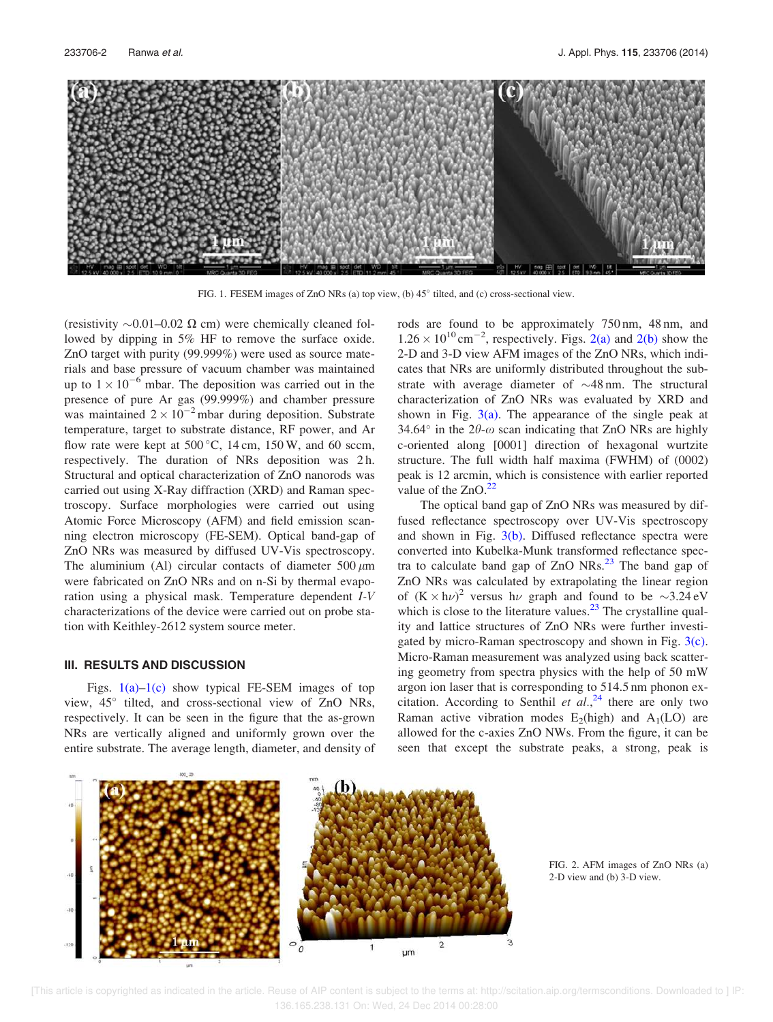

FIG. 1. FESEM images of ZnO NRs (a) top view, (b)  $45^{\circ}$  tilted, and (c) cross-sectional view.

(resistivity  $\sim 0.01 - 0.02 \Omega$  cm) were chemically cleaned followed by dipping in 5% HF to remove the surface oxide. ZnO target with purity (99.999%) were used as source materials and base pressure of vacuum chamber was maintained up to  $1 \times 10^{-6}$  mbar. The deposition was carried out in the presence of pure Ar gas (99.999%) and chamber pressure was maintained  $2 \times 10^{-2}$  mbar during deposition. Substrate temperature, target to substrate distance, RF power, and Ar flow rate were kept at  $500^{\circ}$ C, 14 cm, 150 W, and 60 sccm, respectively. The duration of NRs deposition was 2 h. Structural and optical characterization of ZnO nanorods was carried out using X-Ray diffraction (XRD) and Raman spectroscopy. Surface morphologies were carried out using Atomic Force Microscopy (AFM) and field emission scanning electron microscopy (FE-SEM). Optical band-gap of ZnO NRs was measured by diffused UV-Vis spectroscopy. The aluminium (Al) circular contacts of diameter  $500 \mu m$ were fabricated on ZnO NRs and on n-Si by thermal evaporation using a physical mask. Temperature dependent I-V characterizations of the device were carried out on probe station with Keithley-2612 system source meter.

#### III. RESULTS AND DISCUSSION

Figs.  $1(a)-1(c)$  show typical FE-SEM images of top view, 45° tilted, and cross-sectional view of ZnO NRs, respectively. It can be seen in the figure that the as-grown NRs are vertically aligned and uniformly grown over the entire substrate. The average length, diameter, and density of rods are found to be approximately 750 nm, 48 nm, and  $1.26 \times 10^{10}$  cm<sup>-2</sup>, respectively. Figs. 2(a) and 2(b) show the 2-D and 3-D view AFM images of the ZnO NRs, which indicates that NRs are uniformly distributed throughout the substrate with average diameter of  $\sim$ 48 nm. The structural characterization of ZnO NRs was evaluated by XRD and shown in Fig.  $3(a)$ . The appearance of the single peak at 34.64 $\degree$  in the 2 $\theta$ - $\omega$  scan indicating that ZnO NRs are highly c-oriented along [0001] direction of hexagonal wurtzite structure. The full width half maxima (FWHM) of (0002) peak is 12 arcmin, which is consistence with earlier reported value of the  $ZnO.<sup>22</sup>$ 

The optical band gap of ZnO NRs was measured by diffused reflectance spectroscopy over UV-Vis spectroscopy and shown in Fig.  $3(b)$ . Diffused reflectance spectra were converted into Kubelka-Munk transformed reflectance spectra to calculate band gap of  $ZnO$  NRs.<sup>23</sup> The band gap of ZnO NRs was calculated by extrapolating the linear region of  $(K \times h\nu)^2$  versus  $h\nu$  graph and found to be  $\sim 3.24 \text{ eV}$ which is close to the literature values. $2<sup>3</sup>$  The crystalline quality and lattice structures of ZnO NRs were further investigated by micro-Raman spectroscopy and shown in Fig. 3(c). Micro-Raman measurement was analyzed using back scattering geometry from spectra physics with the help of 50 mW argon ion laser that is corresponding to 514.5 nm phonon excitation. According to Senthil et  $al.$ <sup>24</sup> there are only two Raman active vibration modes  $E_2$ (high) and  $A_1$ (LO) are allowed for the c-axies ZnO NWs. From the figure, it can be seen that except the substrate peaks, a strong, peak is



FIG. 2. AFM images of ZnO NRs (a) 2-D view and (b) 3-D view.

 [This article is copyrighted as indicated in the article. Reuse of AIP content is subject to the terms at: http://scitation.aip.org/termsconditions. Downloaded to ] IP: 136.165.238.131 On: Wed, 24 Dec 2014 00:28:00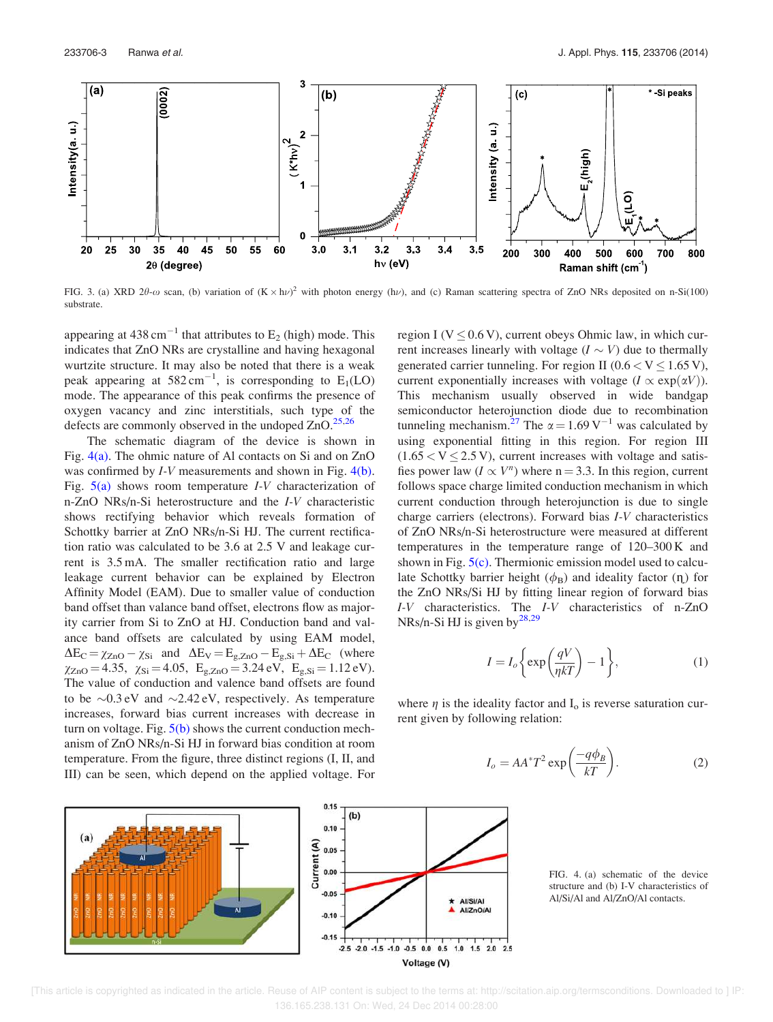

FIG. 3. (a) XRD 2 $\theta$ - $\omega$  scan, (b) variation of  $(K \times h\nu)^2$  with photon energy (h $\nu$ ), and (c) Raman scattering spectra of ZnO NRs deposited on n-Si(100) substrate.

appearing at 438 cm<sup>-1</sup> that attributes to  $E_2$  (high) mode. This indicates that ZnO NRs are crystalline and having hexagonal wurtzite structure. It may also be noted that there is a weak peak appearing at  $582 \text{ cm}^{-1}$ , is corresponding to E<sub>1</sub>(LO) mode. The appearance of this peak confirms the presence of oxygen vacancy and zinc interstitials, such type of the defects are commonly observed in the undoped  $ZnO.<sup>25,26</sup>$ 

The schematic diagram of the device is shown in Fig. 4(a). The ohmic nature of Al contacts on Si and on ZnO was confirmed by *I-V* measurements and shown in Fig. 4(b). Fig.  $5(a)$  shows room temperature *I-V* characterization of n-ZnO NRs/n-Si heterostructure and the I-V characteristic shows rectifying behavior which reveals formation of Schottky barrier at ZnO NRs/n-Si HJ. The current rectification ratio was calculated to be 3.6 at 2.5 V and leakage current is 3.5 mA. The smaller rectification ratio and large leakage current behavior can be explained by Electron Affinity Model (EAM). Due to smaller value of conduction band offset than valance band offset, electrons flow as majority carrier from Si to ZnO at HJ. Conduction band and valance band offsets are calculated by using EAM model,  $\Delta E_C = \chi_{ZnO} - \chi_{Si}$  and  $\Delta E_V = E_{g,ZnO} - E_{g,Si} + \Delta E_C$  (where  $\chi_{\text{ZnO}} = 4.35$ ,  $\chi_{\text{Si}} = 4.05$ ,  $E_{\text{g,ZnO}} = 3.24 \text{ eV}$ ,  $E_{\text{g,Si}} = 1.12 \text{ eV}$ . The value of conduction and valence band offsets are found to be  $\sim 0.3$  eV and  $\sim 2.42$  eV, respectively. As temperature increases, forward bias current increases with decrease in turn on voltage. Fig.  $5(b)$  shows the current conduction mechanism of ZnO NRs/n-Si HJ in forward bias condition at room temperature. From the figure, three distinct regions (I, II, and III) can be seen, which depend on the applied voltage. For region I ( $V \leq 0.6$  V), current obeys Ohmic law, in which current increases linearly with voltage  $(I \sim V)$  due to thermally generated carrier tunneling. For region II ( $0.6 < V \le 1.65$  V), current exponentially increases with voltage  $(I \propto \exp(\alpha V))$ . This mechanism usually observed in wide bandgap semiconductor heterojunction diode due to recombination tunneling mechanism.<sup>27</sup> The  $\alpha = 1.69 \text{ V}^{-1}$  was calculated by using exponential fitting in this region. For region III  $(1.65 < V < 2.5 V)$ , current increases with voltage and satisfies power law  $(I \propto V^n)$  where n = 3.3. In this region, current follows space charge limited conduction mechanism in which current conduction through heterojunction is due to single charge carriers (electrons). Forward bias I-V characteristics of ZnO NRs/n-Si heterostructure were measured at different temperatures in the temperature range of 120–300 K and shown in Fig.  $5(c)$ . Thermionic emission model used to calculate Schottky barrier height  $(\phi_B)$  and ideality factor  $(\eta)$  for the ZnO NRs/Si HJ by fitting linear region of forward bias I-V characteristics. The I-V characteristics of n-ZnO NRs/n-Si HJ is given by $^{28,29}$ 

$$
I = I_o \left\{ \exp\left(\frac{qV}{\eta kT}\right) - 1 \right\},\tag{1}
$$

where  $\eta$  is the ideality factor and  $I_0$  is reverse saturation current given by following relation:

$$
I_o = AA^*T^2 \exp\left(\frac{-q\phi_B}{kT}\right). \tag{2}
$$



FIG. 4. (a) schematic of the device structure and (b) I-V characteristics of Al/Si/Al and Al/ZnO/Al contacts.

 [This article is copyrighted as indicated in the article. Reuse of AIP content is subject to the terms at: http://scitation.aip.org/termsconditions. Downloaded to ] IP: 136.165.238.131 On: Wed, 24 Dec 2014 00:28:00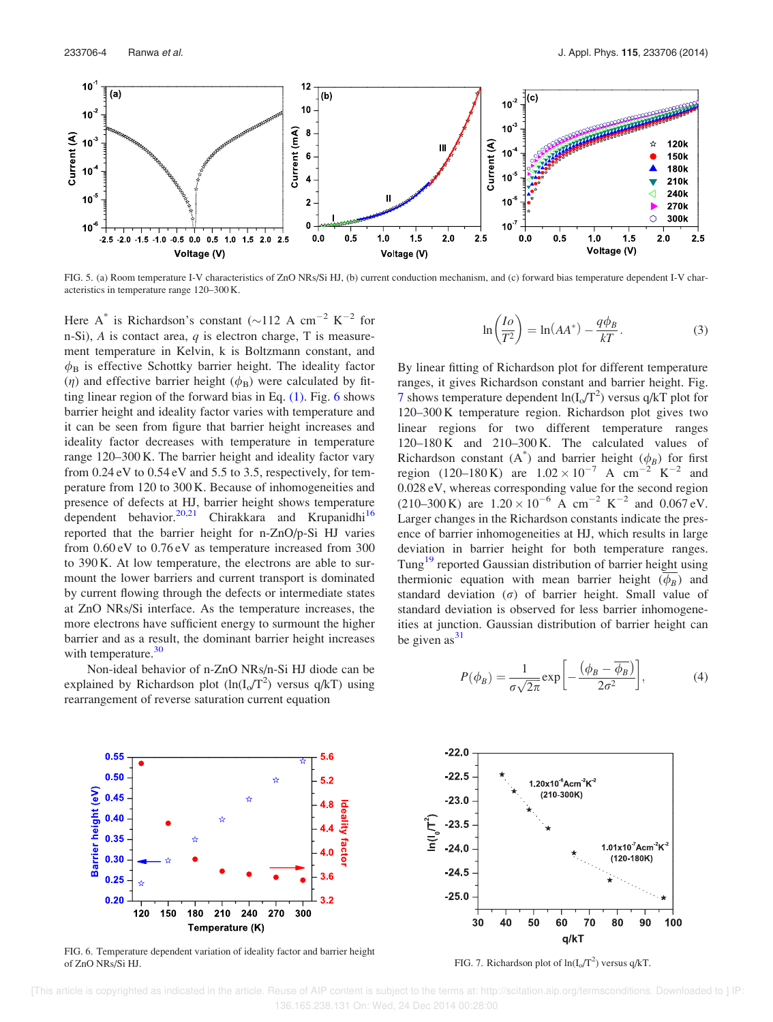

FIG. 5. (a) Room temperature I-V characteristics of ZnO NRs/Si HJ, (b) current conduction mechanism, and (c) forward bias temperature dependent I-V characteristics in temperature range 120–300 K.

Here A<sup>\*</sup> is Richardson's constant ( $\sim$ 112 A cm<sup>-2</sup> K<sup>-2</sup> for n-Si),  $A$  is contact area,  $q$  is electron charge,  $T$  is measurement temperature in Kelvin, k is Boltzmann constant, and  $\phi_B$  is effective Schottky barrier height. The ideality factor ( $\eta$ ) and effective barrier height ( $\phi_B$ ) were calculated by fitting linear region of the forward bias in Eq.  $(1)$ . Fig. 6 shows barrier height and ideality factor varies with temperature and it can be seen from figure that barrier height increases and ideality factor decreases with temperature in temperature range 120–300 K. The barrier height and ideality factor vary from 0.24 eV to 0.54 eV and 5.5 to 3.5, respectively, for temperature from 120 to 300 K. Because of inhomogeneities and presence of defects at HJ, barrier height shows temperature dependent behavior.<sup>20,21</sup> Chirakkara and Krupanidhi<sup>16</sup> reported that the barrier height for n-ZnO/p-Si HJ varies from 0.60 eV to 0.76 eV as temperature increased from 300 to 390 K. At low temperature, the electrons are able to surmount the lower barriers and current transport is dominated by current flowing through the defects or intermediate states at ZnO NRs/Si interface. As the temperature increases, the more electrons have sufficient energy to surmount the higher barrier and as a result, the dominant barrier height increases with temperature. $30$ 

Non-ideal behavior of n-ZnO NRs/n-Si HJ diode can be explained by Richardson plot  $(ln(I_0/T^2)$  versus  $q/kT)$  using rearrangement of reverse saturation current equation



By linear fitting of Richardson plot for different temperature ranges, it gives Richardson constant and barrier height. Fig. 7 shows temperature dependent  $ln(I_0/T^2)$  versus q/kT plot for 120–300 K temperature region. Richardson plot gives two linear regions for two different temperature ranges 120–180 K and 210–300 K. The calculated values of Richardson constant  $(A^*)$  and barrier height  $(\phi_B)$  for first region (120–180 K) are  $1.02 \times 10^{-7}$  A cm<sup>-2</sup> K<sup>-2</sup> and 0.028 eV, whereas corresponding value for the second region  $(210-300 \text{ K})$  are  $1.20 \times 10^{-6}$  A cm<sup>-2</sup> K<sup>-2</sup> and 0.067 eV. Larger changes in the Richardson constants indicate the presence of barrier inhomogeneities at HJ, which results in large deviation in barrier height for both temperature ranges. Tung<sup>19</sup> reported Gaussian distribution of barrier height using thermionic equation with mean barrier height  $(\phi_B)$  and standard deviation  $(\sigma)$  of barrier height. Small value of standard deviation is observed for less barrier inhomogeneities at junction. Gaussian distribution of barrier height can be given  $as<sup>31</sup>$ 

$$
P(\phi_B) = \frac{1}{\sigma\sqrt{2\pi}} \exp\left[-\frac{\left(\phi_B - \overline{\phi_B}\right)}{2\sigma^2}\right],\tag{4}
$$



FIG. 6. Temperature dependent variation of ideality factor and barrier height of ZnO NRs/Si HJ.  $FIG. 7. Richardson plot of  $ln(I_0/T^2)$  versus  $q/kT$ .$ 



 [This article is copyrighted as indicated in the article. Reuse of AIP content is subject to the terms at: http://scitation.aip.org/termsconditions. Downloaded to ] IP: 136.165.238.131 On: Wed, 24 Dec 2014 00:28:00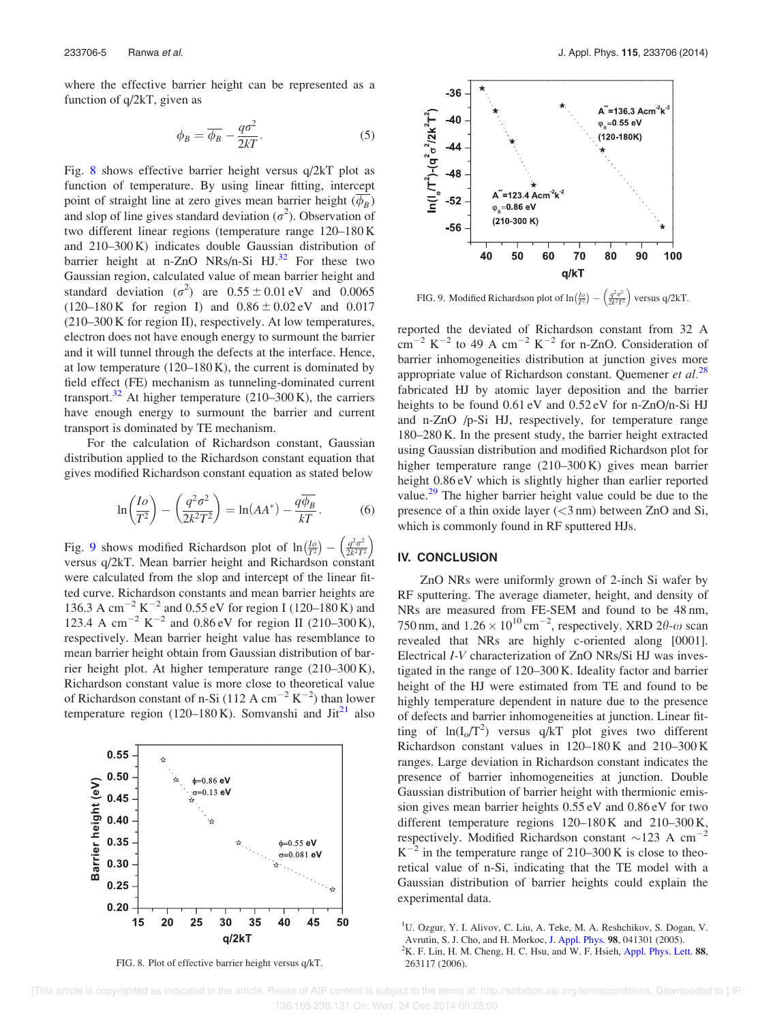where the effective barrier height can be represented as a function of q/2kT, given as

$$
\phi_B = \overline{\phi_B} - \frac{q\sigma^2}{2kT}.
$$
\n(5)

Fig. 8 shows effective barrier height versus q/2kT plot as function of temperature. By using linear fitting, intercept point of straight line at zero gives mean barrier height  $(\phi_B)$ and slop of line gives standard deviation  $(\sigma^2)$ . Observation of two different linear regions (temperature range 120–180 K and 210–300 K) indicates double Gaussian distribution of barrier height at n-ZnO NRs/n-Si  $HJ^{32}$  For these two Gaussian region, calculated value of mean barrier height and standard deviation  $(\sigma^2)$  are  $0.55 \pm 0.01$  eV and  $0.0065$  $(120-180 \text{ K}$  for region I) and  $0.86 \pm 0.02 \text{ eV}$  and  $0.017$ (210–300 K for region II), respectively. At low temperatures, electron does not have enough energy to surmount the barrier and it will tunnel through the defects at the interface. Hence, at low temperature  $(120-180 \text{ K})$ , the current is dominated by field effect (FE) mechanism as tunneling-dominated current transport.<sup>32</sup> At higher temperature (210–300 K), the carriers have enough energy to surmount the barrier and current transport is dominated by TE mechanism.

For the calculation of Richardson constant, Gaussian distribution applied to the Richardson constant equation that gives modified Richardson constant equation as stated below

$$
\ln\left(\frac{Io}{T^2}\right) - \left(\frac{q^2\sigma^2}{2k^2T^2}\right) = \ln(AA^*) - \frac{q\overline{\phi_B}}{kT}.
$$
 (6)

Fig. 9 shows modified Richardson plot of  $\ln\left(\frac{I_0}{T^2}\right) - \left(\frac{q^2\sigma^2}{2k^2T}\right)$  $\left(\frac{q^2\sigma^2}{2k^2T^2}\right)$ versus q/2kT. Mean barrier height and Richardson constant were calculated from the slop and intercept of the linear fitted curve. Richardson constants and mean barrier heights are 136.3 A cm<sup>-2</sup> K<sup>-2</sup> and 0.55 eV for region I (120–180 K) and 123.4 A cm<sup>-2</sup> K<sup>-2</sup> and 0.86 eV for region II (210-300 K), respectively. Mean barrier height value has resemblance to mean barrier height obtain from Gaussian distribution of barrier height plot. At higher temperature range (210–300 K), Richardson constant value is more close to theoretical value of Richardson constant of n-Si (112 A cm<sup>-2</sup> K<sup>-2</sup>) than lower temperature region (120–180 K). Somvanshi and  $Jit^{21}$  also



FIG. 8. Plot of effective barrier height versus q/kT.



FIG. 9. Modified Richardson plot of  $\ln(\frac{I_0}{I^2}) - \left(\frac{q^2\sigma^2}{2k^2T^2}\right)$  versus q/2kT.

reported the deviated of Richardson constant from 32 A  $\text{cm}^{-2}$  K<sup>-2</sup> to 49 A cm<sup>-2</sup> K<sup>-2</sup> for n-ZnO. Consideration of barrier inhomogeneities distribution at junction gives more appropriate value of Richardson constant. Quemener et  $al$ <sup>28</sup> fabricated HJ by atomic layer deposition and the barrier heights to be found  $0.61 \text{ eV}$  and  $0.52 \text{ eV}$  for n-ZnO/n-Si HJ and n-ZnO /p-Si HJ, respectively, for temperature range 180–280 K. In the present study, the barrier height extracted using Gaussian distribution and modified Richardson plot for higher temperature range (210–300 K) gives mean barrier height  $0.86$  eV which is slightly higher than earlier reported value.<sup>29</sup> The higher barrier height value could be due to the presence of a thin oxide layer  $(<$ 3 nm) between ZnO and Si, which is commonly found in RF sputtered HJs.

### IV. CONCLUSION

ZnO NRs were uniformly grown of 2-inch Si wafer by RF sputtering. The average diameter, height, and density of NRs are measured from FE-SEM and found to be 48 nm, 750 nm, and  $1.26 \times 10^{10} \text{ cm}^{-2}$ , respectively. XRD  $2\theta$ - $\omega$  scan revealed that NRs are highly c-oriented along [0001]. Electrical I-V characterization of ZnO NRs/Si HJ was investigated in the range of 120–300 K. Ideality factor and barrier height of the HJ were estimated from TE and found to be highly temperature dependent in nature due to the presence of defects and barrier inhomogeneities at junction. Linear fitting of  $ln(I_0/T^2)$  versus q/kT plot gives two different Richardson constant values in 120–180 K and 210–300 K ranges. Large deviation in Richardson constant indicates the presence of barrier inhomogeneities at junction. Double Gaussian distribution of barrier height with thermionic emission gives mean barrier heights 0.55 eV and 0.86 eV for two different temperature regions  $120-180$  K and  $210-300$  K, respectively. Modified Richardson constant  $\sim$ 123 A cm<sup>-2</sup>  $K^{-2}$  in the temperature range of 210–300 K is close to theoretical value of n-Si, indicating that the TE model with a Gaussian distribution of barrier heights could explain the experimental data.

<sup>&</sup>lt;sup>1</sup>U. Ozgur, Y. I. Alivov, C. Liu, A. Teke, M. A. Reshchikov, S. Dogan, V. Avrutin, S. J. Cho, and H. Morkoc, J. Appl. Phys. 98, 041301 (2005).  ${}^{2}$ K. F. Lin, H. M. Cheng, H. C. Hsu, and W. F. Hsieh, Appl. Phys. Lett. 88,

<sup>263117 (2006).</sup>